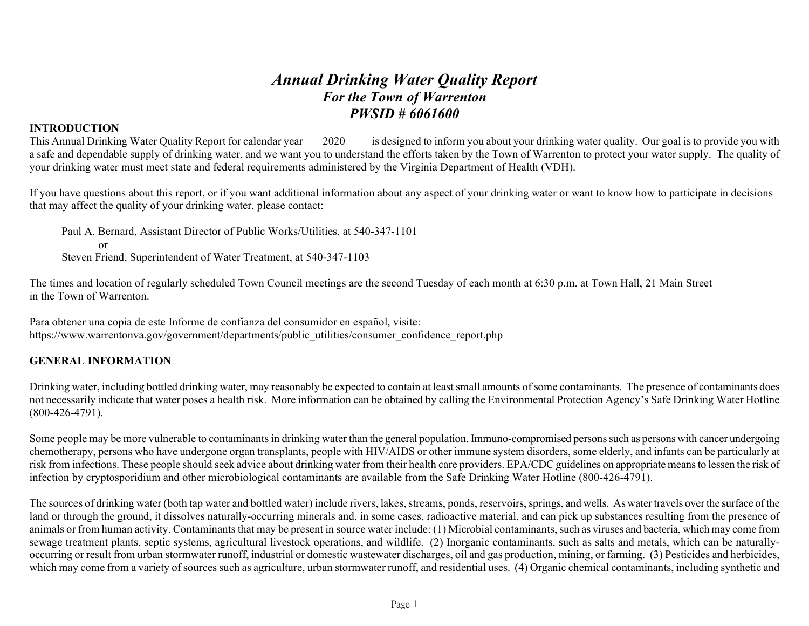# *Annual Drinking Water Quality Report For the Town of Warrenton PWSID # 6061600*

# **INTRODUCTION**

This Annual Drinking Water Quality Report for calendar year 2020 is designed to inform you about your drinking water quality. Our goal is to provide you with a safe and dependable supply of drinking water, and we want you to understand the efforts taken by the Town of Warrenton to protect your water supply. The quality of your drinking water must meet state and federal requirements administered by the Virginia Department of Health (VDH).

If you have questions about this report, or if you want additional information about any aspect of your drinking water or want to know how to participate in decisions that may affect the quality of your drinking water, please contact:

Paul A. Bernard, Assistant Director of Public Works/Utilities, at 540-347-1101 or Steven Friend, Superintendent of Water Treatment, at 540-347-1103

The times and location of regularly scheduled Town Council meetings are the second Tuesday of each month at 6:30 p.m. at Town Hall, 21 Main Street in the Town of Warrenton.

Para obtener una copia de este Informe de confianza del consumidor en español, visite: https://www.warrentonva.gov/government/departments/public\_utilities/consumer\_confidence\_report.php

### **GENERAL INFORMATION**

Drinking water, including bottled drinking water, may reasonably be expected to contain at least small amounts of some contaminants. The presence of contaminants does not necessarily indicate that water poses a health risk. More information can be obtained by calling the Environmental Protection Agency's Safe Drinking Water Hotline (800-426-4791).

Some people may be more vulnerable to contaminants in drinking water than the general population. Immuno-compromised persons such as persons with cancer undergoing chemotherapy, persons who have undergone organ transplants, people with HIV/AIDS or other immune system disorders, some elderly, and infants can be particularly at risk from infections. These people should seek advice about drinking water from their health care providers. EPA/CDC guidelines on appropriate means to lessen the risk of infection by cryptosporidium and other microbiological contaminants are available from the Safe Drinking Water Hotline (800-426-4791).

The sources of drinking water (both tap water and bottled water) include rivers, lakes, streams, ponds, reservoirs, springs, and wells. As water travels over the surface of the land or through the ground, it dissolves naturally-occurring minerals and, in some cases, radioactive material, and can pick up substances resulting from the presence of animals or from human activity. Contaminants that may be present in source water include: (1) Microbial contaminants, such as viruses and bacteria, which may come from sewage treatment plants, septic systems, agricultural livestock operations, and wildlife. (2) Inorganic contaminants, such as salts and metals, which can be naturallyoccurring or result from urban stormwater runoff, industrial or domestic wastewater discharges, oil and gas production, mining, or farming. (3) Pesticides and herbicides, which may come from a variety of sources such as agriculture, urban stormwater runoff, and residential uses. (4) Organic chemical contaminants, including synthetic and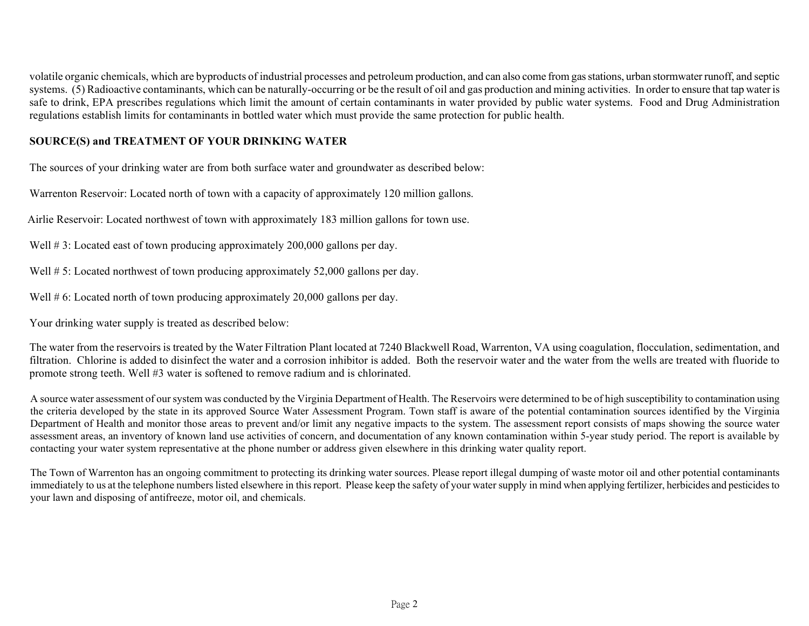volatile organic chemicals, which are byproducts of industrial processes and petroleum production, and can also come from gas stations, urban stormwater runoff, and septic systems. (5) Radioactive contaminants, which can be naturally-occurring or be the result of oil and gas production and mining activities. In order to ensure that tap water is safe to drink, EPA prescribes regulations which limit the amount of certain contaminants in water provided by public water systems. Food and Drug Administration regulations establish limits for contaminants in bottled water which must provide the same protection for public health.

# **SOURCE(S) and TREATMENT OF YOUR DRINKING WATER**

The sources of your drinking water are from both surface water and groundwater as described below:

Warrenton Reservoir: Located north of town with a capacity of approximately 120 million gallons.

Airlie Reservoir: Located northwest of town with approximately 183 million gallons for town use.

Well #3: Located east of town producing approximately 200,000 gallons per day.

Well # 5: Located northwest of town producing approximately 52,000 gallons per day.

Well # 6: Located north of town producing approximately 20,000 gallons per day.

Your drinking water supply is treated as described below:

The water from the reservoirs is treated by the Water Filtration Plant located at 7240 Blackwell Road, Warrenton, VA using coagulation, flocculation, sedimentation, and filtration. Chlorine is added to disinfect the water and a corrosion inhibitor is added. Both the reservoir water and the water from the wells are treated with fluoride to promote strong teeth. Well #3 water is softened to remove radium and is chlorinated.

A source water assessment of our system was conducted by the Virginia Department of Health. The Reservoirs were determined to be of high susceptibility to contamination using the criteria developed by the state in its approved Source Water Assessment Program. Town staff is aware of the potential contamination sources identified by the Virginia Department of Health and monitor those areas to prevent and/or limit any negative impacts to the system. The assessment report consists of maps showing the source water assessment areas, an inventory of known land use activities of concern, and documentation of any known contamination within 5-year study period. The report is available by contacting your water system representative at the phone number or address given elsewhere in this drinking water quality report.

The Town of Warrenton has an ongoing commitment to protecting its drinking water sources. Please report illegal dumping of waste motor oil and other potential contaminants immediately to us at the telephone numbers listed elsewhere in this report. Please keep the safety of your water supply in mind when applying fertilizer, herbicides and pesticides to your lawn and disposing of antifreeze, motor oil, and chemicals.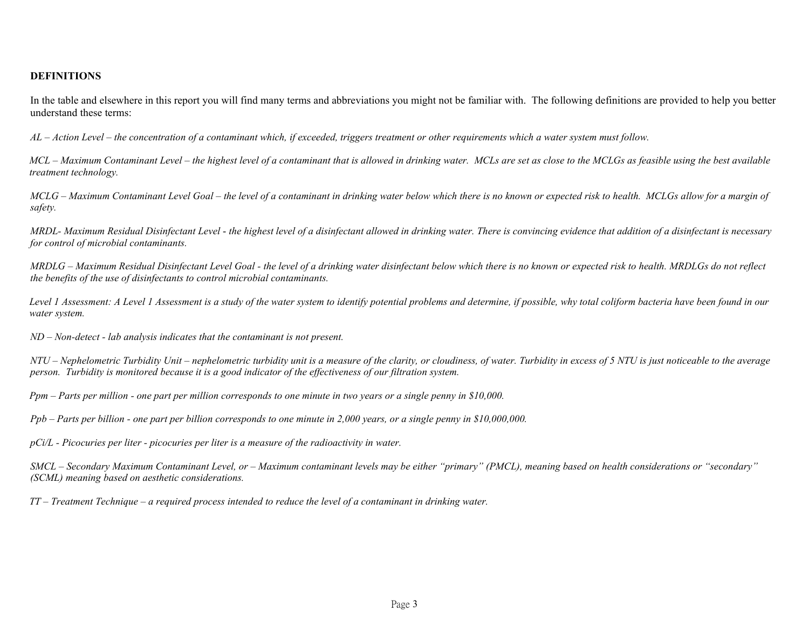#### **DEFINITIONS**

In the table and elsewhere in this report you will find many terms and abbreviations you might not be familiar with. The following definitions are provided to help you better understand these terms:

*AL – Action Level – the concentration of a contaminant which, if exceeded, triggers treatment or other requirements which a water system must follow.*

*MCL – Maximum Contaminant Level – the highest level of a contaminant that is allowed in drinking water. MCLs are set as close to the MCLGs as feasible using the best available treatment technology.*

*MCLG – Maximum Contaminant Level Goal – the level of a contaminant in drinking water below which there is no known or expected risk to health. MCLGs allow for a margin of safety.*

*MRDL- Maximum Residual Disinfectant Level* - *the highest level of a disinfectant allowed in drinking water. There is convincing evidence that addition of a disinfectant is necessary for control of microbial contaminants.*

*MRDLG – Maximum Residual Disinfectant Level Goal - the level of a drinking water disinfectant below which there is no known or expected risk to health. MRDLGs do not reflect the benefits of the use of disinfectants to control microbial contaminants.*

*Level 1 Assessment: A Level 1 Assessment is a study of the water system to identify potential problems and determine, if possible, why total coliform bacteria have been found in our water system.*

*ND – Non-detect - lab analysis indicates that the contaminant is not present.*

NTU – Nephelometric Turbidity Unit – nephelometric turbidity unit is a measure of the clarity, or cloudiness, of water. Turbidity in excess of 5 NTU is just noticeable to the average *person. Turbidity is monitored because it is a good indicator of the effectiveness of our filtration system.*

*Ppm – Parts per million - one part per million corresponds to one minute in two years or a single penny in \$10,000.*

*Ppb – Parts per billion - one part per billion corresponds to one minute in 2,000 years, or a single penny in \$10,000,000.* 

*pCi/L - Picocuries per liter - picocuries per liter is a measure of the radioactivity in water.*

*SMCL – Secondary Maximum Contaminant Level, or – Maximum contaminant levels may be either "primary" (PMCL), meaning based on health considerations or "secondary" (SCML) meaning based on aesthetic considerations.*

*TT – Treatment Technique – a required process intended to reduce the level of a contaminant in drinking water.*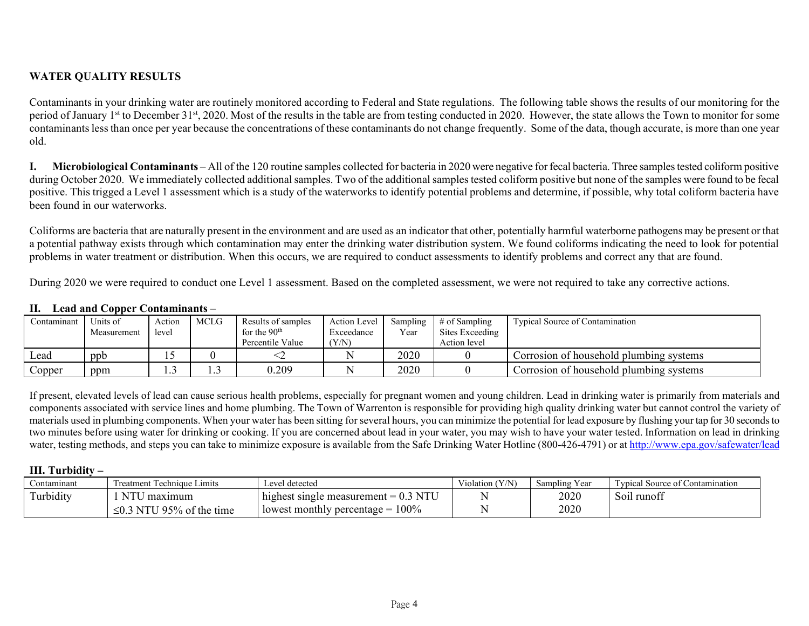# **WATER QUALITY RESULTS**

Contaminants in your drinking water are routinely monitored according to Federal and State regulations. The following table shows the results of our monitoring for the period of January 1<sup>st</sup> to December 31<sup>st</sup>, 2020. Most of the results in the table are from testing conducted in 2020. However, the state allows the Town to monitor for some contaminants less than once per year because the concentrations of these contaminants do not change frequently. Some of the data, though accurate, is more than one year old.

**I. Microbiological Contaminants** – All of the 120 routine samples collected for bacteria in 2020 were negative for fecal bacteria. Three samples tested coliform positive during October 2020. We immediately collected additional samples. Two of the additional samples tested coliform positive but none of the samples were found to be fecal positive. This trigged a Level 1 assessment which is a study of the waterworks to identify potential problems and determine, if possible, why total coliform bacteria have been found in our waterworks.

Coliforms are bacteria that are naturally present in the environment and are used as an indicator that other, potentially harmful waterborne pathogens may be present or that a potential pathway exists through which contamination may enter the drinking water distribution system. We found coliforms indicating the need to look for potential problems in water treatment or distribution. When this occurs, we are required to conduct assessments to identify problems and correct any that are found.

During 2020 we were required to conduct one Level 1 assessment. Based on the completed assessment, we were not required to take any corrective actions.

## **II. Lead and Copper Contaminants** –

| Contaminant         | ™Inits of<br>Measurement | Action<br>level | <b>MCLG</b> | Results of samples<br>for the $90th$<br>Percentile Value | Action Level<br>Exceedance<br>(Y/N) | Sampling<br>Year | $#$ of Sampling<br>Sites Exceeding<br>Action level | Typical Source of Contamination         |
|---------------------|--------------------------|-----------------|-------------|----------------------------------------------------------|-------------------------------------|------------------|----------------------------------------------------|-----------------------------------------|
| Lead                | ppb                      |                 |             |                                                          |                                     | 2020             |                                                    | Corrosion of household plumbing systems |
| $\mathcal{L}$ opper | ppm                      |                 | .           | 0.209                                                    |                                     | 2020             |                                                    | Corrosion of household plumbing systems |

If present, elevated levels of lead can cause serious health problems, especially for pregnant women and young children. Lead in drinking water is primarily from materials and components associated with service lines and home plumbing. The Town of Warrenton is responsible for providing high quality drinking water but cannot control the variety of materials used in plumbing components. When your water has been sitting for several hours, you can minimize the potential for lead exposure by flushing your tap for 30 seconds to two minutes before using water for drinking or cooking. If you are concerned about lead in your water, you may wish to have your water tested. Information on lead in drinking water, testing methods, and steps you can take to minimize exposure is available from the Safe Drinking Water Hotline (800-426-4791) or a[t http://www.epa.gov/safewater/lead](http://www.epa.gov/safewater/lead)

### **III. Turbidity –**

| Contaminant | Treatment Technique Limits     | Level detected                          | Violation (Y/N) | Sampling Year | <b>Typical Source of Contamination</b> |
|-------------|--------------------------------|-----------------------------------------|-----------------|---------------|----------------------------------------|
| Turbidity   | <b>NTU</b><br>maximum          | highest single measurement $= 0.3$ NTU  |                 | 2020          | Soil runoff                            |
|             | $\leq$ 0.3 NTU 95% of the time | 100%<br>lowest monthly percentage $= 1$ |                 | 2020          |                                        |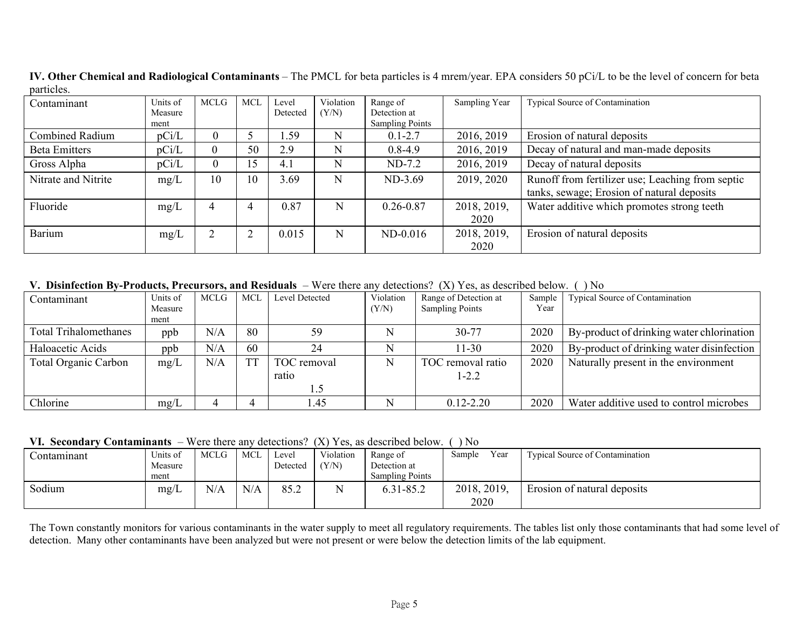| Contaminant            | Units of<br>Measure | MCLG     | <b>MCL</b> | Level<br>Detected | Violation<br>(Y/N) | Range of<br>Detection at | Sampling Year | Typical Source of Contamination                  |
|------------------------|---------------------|----------|------------|-------------------|--------------------|--------------------------|---------------|--------------------------------------------------|
|                        | ment                |          |            |                   |                    | <b>Sampling Points</b>   |               |                                                  |
| <b>Combined Radium</b> | pCi/L               | $\theta$ |            | 1.59              | N                  | $0.1 - 2.7$              | 2016, 2019    | Erosion of natural deposits                      |
| <b>Beta Emitters</b>   | pCi/L               | $\theta$ | 50         | 2.9               | N                  | $0.8 - 4.9$              | 2016, 2019    | Decay of natural and man-made deposits           |
| Gross Alpha            | pCi/L               | $\theta$ | 15         | 4.1               | N                  | $ND-7.2$                 | 2016, 2019    | Decay of natural deposits                        |
| Nitrate and Nitrite    | mg/L                | 10       | 10         | 3.69              | N                  | ND-3.69                  | 2019, 2020    | Runoff from fertilizer use; Leaching from septic |
|                        |                     |          |            |                   |                    |                          |               | tanks, sewage; Erosion of natural deposits       |
| Fluoride               | mg/L                | 4        | 4          | 0.87              | N                  | $0.26 - 0.87$            | 2018, 2019,   | Water additive which promotes strong teeth       |
|                        |                     |          |            |                   |                    |                          | 2020          |                                                  |
| Barium                 | mg/L                |          | ◠          | 0.015             | N                  | $ND-0.016$               | 2018, 2019,   | Erosion of natural deposits                      |
|                        |                     |          |            |                   |                    |                          | 2020          |                                                  |

**IV. Other Chemical and Radiological Contaminants** – The PMCL for beta particles is 4 mrem/year. EPA considers 50 pCi/L to be the level of concern for beta particles.

**V. Disinfection By-Products, Precursors, and Residuals** – Were there any detections? (X) Yes, as described below. ( ) No

| Contaminant                  | Units of | MCLG | MCL       | Level Detected | Violation | Range of Detection at  | Sample | Typical Source of Contamination           |
|------------------------------|----------|------|-----------|----------------|-----------|------------------------|--------|-------------------------------------------|
|                              | Measure  |      |           |                | (Y/N)     | <b>Sampling Points</b> | Year   |                                           |
|                              | ment     |      |           |                |           |                        |        |                                           |
| <b>Total Trihalomethanes</b> | ppb      | N/A  | 80        | 59             |           | 30-77                  | 2020   | By-product of drinking water chlorination |
| Haloacetic Acids             | ppb      | N/A  | 60        | 24             |           | $11 - 30$              | 2020   | By-product of drinking water disinfection |
| Total Organic Carbon         | mg/L     | N/A  | <b>TT</b> | TOC removal    |           | TOC removal ratio      | 2020   | Naturally present in the environment      |
|                              |          |      |           | ratio          |           | $1 - 2.2$              |        |                                           |
|                              |          |      |           |                |           |                        |        |                                           |
| Chlorine                     | mg/L     |      |           | l.45           |           | $0.12 - 2.20$          | 2020   | Water additive used to control microbes   |

**VI. Secondary Contaminants** – Were there any detections? (X) Yes, as described below. ( ) No

| , п. эссонані<br>$\sim$ on an internet |                     | $\cdots$ of the $\cdots$ and $\cdots$ |            |                   | .                  | 1 OS. 669 GOSOIIO OG OOIO 11 . | $\sim$              |                                        |
|----------------------------------------|---------------------|---------------------------------------|------------|-------------------|--------------------|--------------------------------|---------------------|----------------------------------------|
| Contaminant                            | Units of<br>Measure | <b>MCLG</b>                           | <b>MCI</b> | Level<br>Detected | Violation<br>(Y/N) | Range of<br>Detection at       | Year<br>Sample      | <b>Typical Source of Contamination</b> |
|                                        | ment                |                                       |            |                   |                    | <b>Sampling Points</b>         |                     |                                        |
| Sodium                                 | mg/L                | N/A                                   | N/A        | 85.2              | ъT                 | 6.31-85.2                      | 2018, 2019,<br>2020 | Erosion of natural deposits            |

The Town constantly monitors for various contaminants in the water supply to meet all regulatory requirements. The tables list only those contaminants that had some level of detection. Many other contaminants have been analyzed but were not present or were below the detection limits of the lab equipment.